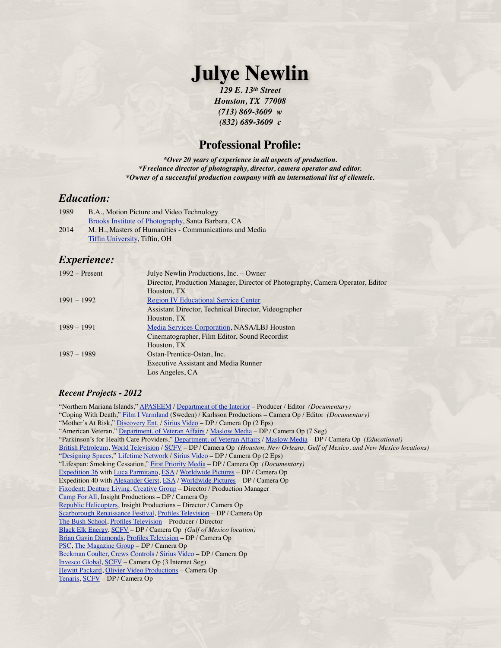# **Julye Newlin**

*129 E. 13th Street Houston, TX 77008 (713) 869-3609 w (832) 689-3609 c*

# **Professional Profile:**

*\*Over 20 years of experience in all aspects of production. \*Freelance director of photography, director, camera operator and editor. \*Owner of a successful production company with an international list of clientele.*

# *Education:*

| 1989 | B.A., Motion Picture and Video Technology               |
|------|---------------------------------------------------------|
|      | Brooks Institute of Photography, Santa Barbara, CA      |
| 2014 | M. H., Masters of Humanities - Communications and Media |
|      | <b>Tiffin University, Tiffin, OH</b>                    |

# *Experience:*

| $1992 -$ Present | Julye Newlin Productions, Inc. - Owner                                         |
|------------------|--------------------------------------------------------------------------------|
|                  | Director, Production Manager, Director of Photography, Camera Operator, Editor |
|                  | Houston, TX                                                                    |
| $1991 - 1992$    | <b>Region IV Educational Service Center</b>                                    |
|                  | Assistant Director, Technical Director, Videographer                           |
|                  | Houston, TX                                                                    |
| $1989 - 1991$    | Media Services Corporation, NASA/LBJ Houston                                   |
|                  | Cinematographer, Film Editor, Sound Recordist                                  |
|                  | Houston, TX                                                                    |
| $1987 - 1989$    | Ostan-Prentice-Ostan, Inc.                                                     |
|                  | <b>Executive Assistant and Media Runner</b>                                    |
|                  | Los Angeles, CA                                                                |

# *Recent Projects - 2012*

"Northern Mariana Islands," [APASEEM](http://www.apaseem.org/sec.asp?secID=155) / [Department of the Interior](http://www.doi.gov/index.cfm) – Producer / Editor *(Documentary)* "Coping With Death," [Film I Varmland](http://www.glimz.net/info.php?organisation=292) (Sweden) / Karlsson Productions – Camera Op / Editor *(Documentary)* "Mother's At Risk," [Discovery Ent.](http://health.discovery.com/) / [Sirius Video](http://www.siriusvid.com/) - DP / Camera Op (2 Eps) "American Veteran," [Department. of Veteran Affairs](http://www.va.gov/) / [Maslow Media](http://www.maslowmedia.com/) - DP / Camera Op (7 Seg) "Parkinson's for Health Care Providers," [Department. of Veteran Affairs](http://www.va.gov/) / [Maslow Media](http://www.maslowmedia.com/) – DP / Camera Op *(Educational)* [British Petroleum](http://www.bp.com/bodycopyarticle.do?categoryId=1&contentId=7052055), [World Television](http://www.world-television.com/) / [SCFV](http://www.scfilmvideo.com/) – DP / Camera Op *(Houston, New Orleans, Gulf of Mexico, and New Mexico locations)* "[Designing Spaces](http://www.mylifetime.com/shows/designing-spaces)," [Lifetime Network](http://www.mylifetime.com/) / [Sirius Video](http://www.siriusvid.com/) - DP / Camera Op (2 Eps) "Lifespan: Smoking Cessation," [First Priority Media](http://firstprioritymedia.com/) – DP / Camera Op *(Documentary)* [Expedition 36](http://www.nasa.gov/mission_pages/station/expeditions/expedition36/index.html) with [Luca Parmitano](http://www.esa.int/esaHS/SEMIDK0OWUF_astronauts_0.html), [ESA](http://www.esa.int/esaCP/index.html) / [Worldwide Pictures](http://www.worldwidepictures.tv) – DP / Camera Op Expedition 40 with [Alexander Gerst,](http://www.esa.int/esaHS/SEMZ8K0OWUF_astronauts_0.html) [ESA](http://www.esa.int/esaCP/index.html) / [Worldwide Pictures](http://www.worldwidepictures.tv) – DP / Camera Op [Fixodent: Denture Living,](http://www.dentureliving.com/) [Creative Group](http://www.creativegroup.tv/Creative_Group/Home.html) – Director / Production Manager [Camp For All,](http://campforall.org/) Insight Productions – DP / Camera Op [Republic Helicopters,](http://www.republichelicopters.com/) Insight Productions – Director / Camera Op [Scarborough Renaissance Festival,](http://www.srfestival.com/) [Profiles Television](http://www.profilesseries.com/) – DP / Camera Op [The Bush School,](http://bush.tamu.edu/) [Profiles Television](http://www.profilesseries.com/) – Producer / Director [Black Elk Energy,](http://www.blackelkenergy.com/) [SCFV](http://www.scfilmvideo.com/) – DP / Camera Op *(Gulf of Mexico location)* [Brian Gavin Diamonds,](http://www.briangavindiamonds.com/) [Profiles Television](http://www.profilesseries.com/) – DP / Camera Op [PSC](http://pscnow.com/), [The Magazine Group](http://www.tmgcustommedia.com/) – DP / Camera Op [Beckman Coulter](https://www.beckmancoulter.com/wsrportal/wsrportal.portal?_nfpb=true&_windowLabel=UCM_RENDERER&_urlType=render&wlpUCM_RENDERER_path=/wsr/index.htm), [Crews Controls](http://crewscontrol.com/) / [Sirius Video](http://www.siriusvid.com/) – DP / Camera Op [Invesco Global,](http://www.invesco.com/portal/site/global) [SCFV](http://www.scfilmvideo.com/) – Camera Op (3 Internet Seg) [Hewitt Packard,](http://www.hp.com/) [Olivier Video Productions](http://ovptv.com/) – Camera Op [Tenaris,](http://www.tenaris.com/default.aspx) [SCFV](http://www.scfilmvideo.com/) – DP / Camera Op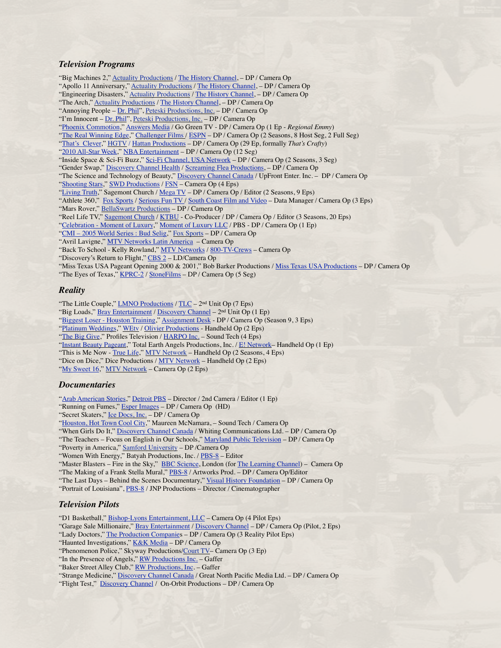#### *Television Programs*

"Big Machines 2," [Actuality Productions](http://www.actualityproductions.com/) / [The History Channel](http://www.historychannel.com/), - DP / Camera Op "Apollo 11 Anniversary," [Actuality Productions](http://www.actualityproductions.com/) / [The History Channel](http://www.historychannel.com/), - DP / Camera Op "Engineering Disasters," [Actuality Productions](http://www.actualityproductions.com/) / [The History Channel](http://www.historychannel.com/), - DP / Camera Op "The Arch," [Actuality Productions](http://www.actualityproductions.com/) / [The History Channel](http://www.historychannel.com/), - DP / Camera Op "Annoying People - [Dr. Phil"](http://www.drphil.com/), [Peteski Productions, Inc.](http://www.drphil.com/) - DP / Camera Op "I'm Innocent – [Dr. Phil"](http://www.drphil.com/), [Peteski Productions, Inc.](http://www.drphil.com/) – DP / Camera Op "[Phoenix Commotion](http://www.phoenixcommotion.com/)," [Answers Media](http://www.answersmediainc.com/) / Go Green TV - DP / Camera Op (1 Ep - *Regional Emmy*) "[The Real Winning Edge,](http://www.realwinningedge.com/)" [Challenger Films /](http://www.challengerfilms.org/) [ESPN](http://espn.go.com/) - DP / Camera Op (2 Seasons, 8 Host Seg, 2 Full Seg) "[That's Clever,](http://www.hgtv.com/hgtv/shows_hclvr)" [HGTV](http://www.hgtv.com/) / [Hattan Productions](http://www.hattanpro.com/) – DP / Camera Op (29 Ep, formally *That's Crafty*) "[2010 All-Star Week,](http://www.nba.com/allstar2010/)" [NBA Entertainment](http://www.nba.com/home/index.html) - DP / Camera Op (12 Seg) "Inside Space & Sci-Fi Buzz," [Sci-Fi Channel, USA Network](http://www.scifi.com/) – DP / Camera Op (2 Seasons, 3 Seg) "Gender Swap," [Discovery Channel Health](http://health.discovery.com/) / [Screaming Flea Productions](http://www.sfpseattle.com/), – DP / Camera Op "The Science and Technology of Beauty," [Discovery Channel Canada](http://discoverychannel.ca/_home/index.shtml) / UpFront Enter. Inc. – DP / Camera Op "[Shooting Stars,](http://www.watchshootingstars.com/)" [SWD Productions](http://www.swdproductions.com/) / [FSN](http://www.foxsportssouthwest.com/) – Camera Op (4 Eps) "[Living Truth](http://www.sagemontchurch.org/learn/reallifetv/)," Sagemont Church / [Mega TV](http://www.mega.tv/) – DP / Camera Op / Editor (2 Seasons, 9 Eps) "Athlete 360," [Fox Sports](http://msn.foxsports.com/regional/southwest) / [Serious Fun TV /](http://www.seriousfun.tv/about_sfp.html) [South Coast Film and Video](http://www.scfilmvideo.com/) – Data Manager / Camera Op (3 Eps) "Mars Rover," [BellaSwartz Productions](http://bellaswartz.com/content.php?id=about) - DP / Camera Op "Reel Life TV," [Sagemont Church](http://www.sagemontchurch.org/) / [KTBU](http://www.thetube.net/home/) - Co-Producer / DP / Camera Op / Editor (3 Seasons, 20 Eps) "[Celebration - Moment of Luxury](http://watch.wliw.org/video/1380508898/)," [Moment of Luxury LLC](http://www.momentofluxury.com/index2.aspx) / PBS - DP / Camera Op (1 Ep) "[CMI – 2005 World Series : Bud Selig,](http://msn.foxsports.com/CMI)" [Fox Sports](http://msn.foxsports.com/) – DP / Camera Op "Avril Lavigne," [MTV Networks Latin America](http://www1.terra.com.ar/mtv/html/home.html) – Camera Op "Back To School - Kelly Rowland," [MTV Networks](http://www.mtv.com/onair/) / [800-TV-Crews](http://www.tvcrews.com/index.cfm) – Camera Op "Discovery's Return to Flight," [CBS 2](http://www.cbsnewyork.com/) – LD/Camera Op "Miss Texas USA Pageant Opening 2000 & 2001," Bob Barker Productions / [Miss Texas USA Productions](http://www.misstexasusa.com/) – DP / Camera Op "The Eyes of Texas," [KPRC-2](http://www.click2houston.com/) / [StoneFilms](http://www.stonefilms.com/) - DP / Camera Op (5 Seg)

### *Reality*

"The Little Couple," **LMNO Productions** / [TLC](http://tlc.howstuffworks.com/tv/little-couple) – 2<sup>nd</sup> Unit Op (7 Eps) "Big Loads," [Bray Entertainment](http://brayentertainment.com/index.php) / [Discovery Channel](http://dsc.discovery.com/) – 2<sup>nd</sup> Unit Op (1 Ep) "[Biggest Loser - Houston Training](http://www.nbc.com/the-biggest-loser/)," [Assignment Desk](http://www.assignmentdesk.com/) - DP / Camera Op (Season 9, 3 Eps) "[Platinum Weddings](http://www.wetv.com/platinum-weddings)," [WEtv](http://www.wetv.com/) / [Olivier Productions](http://www.ovptv.com/) - Handheld Op (2 Eps) "[The Big Give](http://abc.go.com/primetime/oprahsbiggive/index?pn=index)," Profiles Television / [HARPO Inc.](http://www.oprah.com/index) - Sound Tech (4 Eps) "[Instant Beauty Pageant](http://www.mystyle.com/mystyle/shows/instantbeauty/index.jsp)," Total Earth Angels Productions, Inc. / [E! Network](http://www.eonline.com/)– Handheld Op (1 Ep) "This is Me Now - [True Life,](http://www.mtv.com/ontv/dyn/truelife/series.jhtml)" [MTV Network](http://www.mtv.com/) - Handheld Op (2 Seasons, 4 Eps) "Dice on Dice," Dice Productions / [MTV Network](http://www.mtv.com/onair/) – Handheld Op (2 Eps) "[My Sweet 16](http://www.mtv.com/ontv/dyn/sweet_16/series.jhtml%23/ontv/dyn/sweet_16/series.jhtml)," [MTV Network](http://www.mtv.com/) – Camera Op (2 Eps)

#### *Documentaries*

"[Arab American Stories,](http://www.arabamericanmuseum.org/arab.american.stories)" [Detroit PBS](http://www.dptv.org/) - Director / 2nd Camera / Editor (1 Ep)

"Running on Fumes," [Esper Images](http://www.esperproducers.com/) – DP / Camera Op (HD)

"Secret Skaters," <u>Ice Docs, Inc.</u> – DP / Camera Op

"[Houston, Hot Town Cool City,](http://www.hottowncoolcity.org/view/film/thefilm/)" Maureen McNamara, - Sound Tech / Camera Op

"When Girls Do It," [Discovery Channel Canada](http://discoverychannel.ca/_home/index.shtml) / Whiting Communications Ltd. – DP / Camera Op

"The Teachers – Focus on English in Our Schools," [Maryland Public Television](http://www.mpt.org/) – DP / Camera Op

"Poverty in America," [Samford University](http://www.samford.edu/) – DP /Camera Op

"Women With Energy," Batyah Productions, Inc. / [PBS-8](http://www.houstonpbs.org/site/PageServer) – Editor

"Master Blasters – Fire in the Sky," [BBC Science,](http://www.bbc.co.uk/science/) London (for [The Learning Channel\)](http://tlc.discovery.com/) – Camera Op "The Making of a Frank Stella Mural," [PBS-8](http://www.houstonpbs.org/site/PageServer) / Artworks Prod. - DP / Camera Op/Editor

"The Last Days - Behind the Scenes Documentary," [Visual History Foundation](http://www.vhf.org/) - DP / Camera Op

"Portrait of Louisiana", [PBS-8](http://www.lpb.org/) / JNP Productions - Director / Cinematographer

### *Television Pilots*

"D1 Basketball," [Bishop-Lyons Entertainment, LLC](http://www.lyonsentertainment.net/) – Camera Op (4 Pilot Eps)

"Garage Sale Millionaire," [Bray Entertainment](http://brayentertainment.com/index.php) / [Discovery Channel](http://dsc.discovery.com/) - DP / Camera Op (Pilot, 2 Eps)

"Lady Doctors," [The Production Companies](http://www.tpcnet.com/) – DP / Camera Op (3 Reality Pilot Eps)

"Haunted Investigations," [K&K Media](http://users.ev1.net/~kkmedia/aerial.html) - DP / Camera Op

"In the Presence of Angels," [RW Productions Inc.](http://www.rwvideo.com/) – Gaffer

"Baker Street Alley Club," [RW Productions, Inc](http://www.rwvideo.com/). - Gaffer

"Strange Medicine," [Discovery Channel Canada](http://discoverychannel.ca/_home/index.shtml) / Great North Pacific Media Ltd. – DP / Camera Op

"Flight Test," [Discovery Channel](http://dsc.discovery.com/) / On-Orbit Productions - DP / Camera Op

<sup>&</sup>quot;Phenomenon Police," Skyway Productions[/Court TV–](http://www.courttv.com/home_primetime/index.html) Camera Op (3 Ep)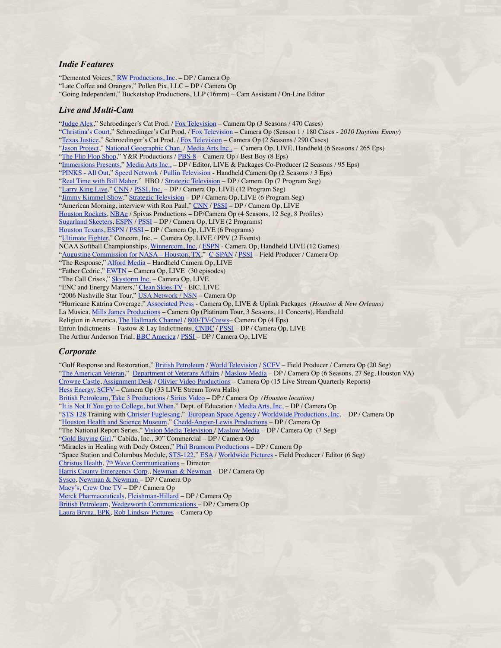#### *Indie Features*

"Demented Voices," [RW Productions, Inc](http://www.rwvideo.com/). - DP / Camera Op "Late Coffee and Oranges," Pollen Pix, LLC – DP / Camera Op "Going Independent," Bucketshop Productions, LLP (16mm) – Cam Assistant / On-Line Editor

#### *Live and Multi-Cam*

"[Judge Alex,](http://judgealex.com/)" Schroedinger's Cat Prod. / [Fox Television](http://www.fox.com/home.htm) – Camera Op (3 Seasons / 470 Cases) "[Christina's Court](http://www.cristinascourt.com/)," Schroedinger's Cat Prod. / [Fox Television](http://www.fox.com/home.htm) – Camera Op (Season 1 / 180 Cases - *2010 Daytime Emmy*) "[Texas Justice,](http://www.texasjusticetv.com/)" Schroedinger's Cat Prod. / [Fox Television](http://www.fox.com/home.htm) – Camera Op (2 Seasons / 290 Cases) "[Jason Project,](http://www.jasonproject.org/home.htm)" [National Geographic Chan.](http://www.nationalgeographic.com/channel/) / [Media Arts Inc.,](http://www.mediarts.com/CoPro.htm) - Camera Op, LIVE, Handheld (6 Seasons / 265 Eps) "[The Flip Flop Shop](http://www.houstonpbs.org/site/PageServer?pagename=prd_flipflopshop)," Y&R Productions / [PBS-8](http://www.houstonpbs.org/site/PageServer) – Camera Op / Best Boy (8 Eps) "Immersions Presents," [Media Arts Inc.,](http://www.mediarts.com/CoPro.htm) – DP / Editor, LIVE & Packages Co-Producer (2 Seasons / 95 Eps) "[PINKS - All Out,](http://www.speedtv.com/programs/pinks-all-out/)" [Speed Network](http://www.speedtv.com/) / <u>Pullin Television</u> - Handheld Camera Op (2 Seasons / 3 Eps) "[Real Time with Bill Maher](http://www.billmaher.com/)," HBO / [Strategic Television](http://pssiglobal.com/) – DP / Camera Op (7 Program Seg) "[Larry King Live](http://www.cnn.com/CNN/Programs/larry.king.live/)," [CNN](http://www.cnn.com/) / [PSSI, Inc.](http://www.pssiglobal.com/) - DP / Camera Op, LIVE (12 Program Seg) "[Jimmy Kimmel Show,](http://abc.go.com/primetime/jimmykimmel/index.html)" [Strategic Television](http://pssiglobal.com/) – DP / Camera Op, LIVE (6 Program Seg) "American Morning, interview with Ron Paul," [CNN](http://www.cnn.com/) / [PSSI](http://www.pssiglobal.com/) - DP / Camera Op, LIVE [Houston Rockets](http://www.nba.com/rockets/), [NBAe](http://www.nba.com/nbae/) / Spivas Productions – DP/Camera Op (4 Seasons, 12 Seg, 8 Profiles) [Sugarland Skeeters](http://www.sugarlandskeeters.com/index.cfm), [ESPN](http://espn.go.com/) / [PSSI](http://pssiglobal.com/) – DP / Camera Op, LIVE (2 Programs) [Houston Texans,](http://www.houstontexans.com/) [ESPN](http://espn.go.com/) / [PSSI](http://pssiglobal.com/) – DP / Camera Op, LIVE (6 Programs) "[Ultimate Fighter,](http://www.ufc.com/index.cfm?fa=tuf.home)" Concom, Inc. - Camera Op, LIVE / PPV (2 Events) NCAA Softball Championships, [Winnercom, Inc.](http://www.winnercomm.com/2006/) / [ESPN](http://espn.go.com/) - Camera Op, Handheld LIVE (12 Games) "Augustine Commission for NASA - Houston, TX," [C-SPAN](http://www.c-span.org/) / [PSSI](http://pssiglobal.com/) - Field Producer / Camera Op "The Response," [Alford Media](http://www.alfordmedia.com/) – Handheld Camera Op, LIVE "Father Cedric," [EWTN](http://www.ewtn.com/) – Camera Op, LIVE (30 episodes) "The Call Crises," [Skystorm Inc.](http://www.skystorm.com/) - Camera Op, LIVE "ENC and Energy Matters," [Clean Skies TV](http://www.cleanskies.tv/%23) - EIC, LIVE "2006 Nashville Star Tour," [USA Network / NSN](http://www.usanetwork.com/series/nashvillestar/ticketing/nashvillestartour.html) – Camera Op "Hurricane Katrina Coverage," [Associated Press](http://www.aptn.com/) - Camera Op, LIVE & Uplink Packages *(Houston & New Orleans)* La Musica, [Mills James Productions](http://www.mjp.com/index.cfm?bhflver=2&bhflverex=7%252E0+r24) – Camera Op (Platinum Tour, 3 Seasons, 11 Concerts), Handheld Religion in America, [The Hallmark Channel](http://www.hallmarkchannel.com/framework.jsp?CNTRY=US&BODY=home.jsp) / [800-TV-Crews](http://www.tvcrews.com/index.cfm)– Camera Op (4 Eps) Enron Indictments – Fastow & Lay Indictments, [CNBC](http://moneycentral.msn.com/investor/home.asp) / [PSSI](http://pssiglobal.com/) – DP / Camera Op, LIVE The Arthur Anderson Trial, **BBC** America / **PSSI** – DP / Camera Op, LIVE

#### *Corporate*

"Gulf Response and Restoration," [British Petroleum](http://www.bp.com/bodycopyarticle.do?categoryId=1&contentId=7052055) / [World Television](http://www.world-television.com/) / [SCFV](http://www.scfilmvideo.com/) - Field Producer / Camera Op (20 Seg) "[The American Veteran](http://www1.va.gov/opa/feature/amervet/index.asp)," [Department of Veterans Affairs](http://www.va.gov/) / [Maslow Media](http://www.maslowmedia.com/) – DP / Camera Op (6 Seasons, 27 Seg, Houston VA) [Crowne Castle](http://www.crowncastle.com/), [Assignment Desk](http://www.assignmentdesk.com/) / [Olivier Video Productions](http://ovptv.com/) – Camera Op (15 Live Stream Quarterly Reports) [Hess Energy](http://www.hess.com/default.aspx), [SCFV](http://www.scfilmvideo.com/) – Camera Op (33 LIVE Stream Town Halls) [British Petroleum](http://www.bp.com/bodycopyarticle.do?categoryId=1&contentId=7052055), [Take 3 Productions](http://take3.co.uk/) / [Sirius Video](http://www.siriusvid.com/) – DP / Camera Op *(Houston location)* "[It is Not If You go to College, but When](http://www.ed.gov/blog/2011/04/a-mother%E2%80%99s-message-to-her-eighth-grader-%E2%80%93-%E2%80%9Cit%E2%80%99s-not-if-you-go-to-college-but-when%E2%80%9D/)," Dept. of Education / [Media Arts, Inc.](http://www.mediarts.com/CoPro.htm) – DP / Camera Op "[STS 128](http://www.nasa.gov/mission_pages/shuttle/shuttlemissions/sts128/main/index.html) Training with [Christer Fuglesang](http://www.esa.int/esaHS/ESAOUUZUMOC_astronauts_0.html)," [European Space Agency](http://www.esa.int/esaCP/index.html) / [Worldwide Productions, Inc](http://www.worldwidepictures.tv). – DP / Camera Op "[Houston Health and Science Museum](http://www.mhms.org/)," [Chedd-Angier-Lewis Productions](http://www.chedd-angier.com/) – DP / Camera Op "The National Report Series," [Vision Media Television /](http://www.visionmediatelevision.com/index.htm) [Maslow Media](http://www.maslowmedia.com/) - DP / Camera Op (7 Seg) "[Gold Buying Girl,](http://www.goldbuyinggirl.com)" Cabida, Inc., 30" Commercial – DP / Camera Op "Miracles in Healing with Dody Osteen," [Phil Bransom Productions](http://www.philbransom.com/) – DP / Camera Op "Space Station and Columbus Module, [STS-122,](http://www.nasa.gov/mission_pages/shuttle/shuttlemissions/sts122/mission_overview.html)" [ESA](http://www.esa.int/esaCP/index.html) / [Worldwide Pictures](http://www.worldwidepictures.tv) - Field Producer / Editor (6 Seg) [Christus Health](http://www.christushealth.org/), 7<sup>th</sup> Wave Communications - Director [Harris County Emergency Corp](http://www.hcec.com/)., [Newman & Newman](http://www.newmanandnewmaninc.com/) – DP / Camera Op [Sysco](http://www.sysco.com/), [Newman & Newman –](http://www.newmanandnewmaninc.com/) DP / Camera Op [Macy's](http://www.macysinc.com/), [Crew One TV](http://www.crew1tv.com/) – DP / Camera Op [Merck Pharmaceuticals](http://www.merck.com/index.html), [Fleishman-Hillard](http://fleishmanhillard.com/) – DP / Camera Op [British Petroleum](http://bpneighbors.com/index.php?option=com_content&view=article&id=111&Itemid=108), [Wedgeworth Communications –](http://www.wedgeworthbiz.com/) DP / Camera Op [Laura Bryna, EPK](http://www.roblindsaypictures.com/pages/music.htm), [Rob Lindsay Pictures](http://www.roblindsaypictures.com/) – Camera Op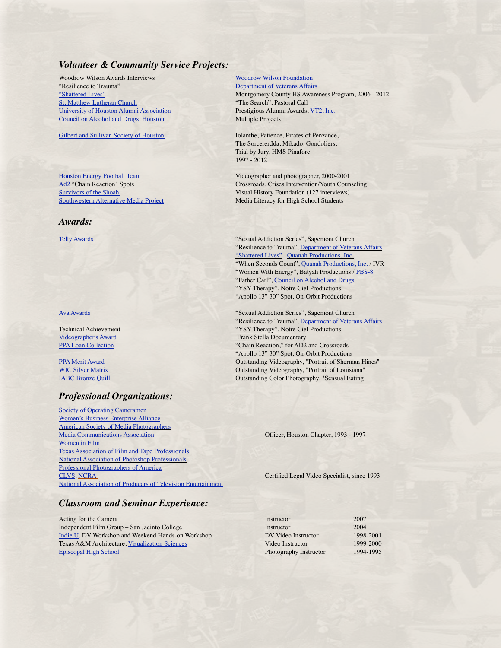# *Volunteer & Community Service Projects:*

Woodrow Wilson Awards Interviews **[Woodrow Wilson Foundation](http://www.woodrow.org/)** "Resilience to Trauma" **[Department of Veterans Affairs](http://www.va.gov/) [St. Matthew Lutheran Church](http://www.stmatthewhouston.org/)** [University of Houston Alumni Association](http://www.uh.edu/alumni/) <br>
Prestigious Alumni Awards, [VT2, Inc.](http://www.vt-tv.com/u0804/home.html) [Council on Alcohol and Drugs, Houston](http://www.council-houston.org/) Multiple Projects

[Gilbert and Sullivan Society of Houston](http://www.gilbertandsullivan.net/) **Interval Collect and Sullivan Society of Houston I Iolanthe, Patience, Pirates of Penzance**,

#### *Awards:*

# *Professional Organizations:*

[Society of Operating Cameramen](http://www.soc.org/) [Women's Business Enterprise Alliance](http://www.wbea-texas.org/public/default.aspx) [American Society of Media Photographers](http://asmp.org/) [Media Communications Association](http://www.mca-i.org/) **Media Communications Association Chapter**, Houston Chapter, 1993 - 1997 [Women in Film](http://www.wif.org/) [Texas Association of Film and Tape Professionals](http://www.taftp.com/) [National Association of Photoshop Professionals](http://members.photoshopuser.com/) [Professional Photographers of America](http://www.ppa.com/splash.cfm) [CLVS,](http://clvs.ncraonline.org/index.shtml) [NCRA](http://www.ncra.org/) **CERTIFIED CONSTRANT CERTIFIED CERTIFIED CERTIFIED CERTIFIED CERTIFIED CERTIFIED CERTIFIED CERTIFIED CERTIFIED CERTIFIED CERTIFIED CERTIFIED CERTIFIED CERTIFIED CERTIFIED CERTIFIED CERTIFIED CERTIFIED CERTIFIED** [National Association of Producers of Television Entertainment](http://www.natpe.org/)

# *Classroom and Seminar Experience:*

Acting for the Camera In Independent Film Group – San Jacinto College **Installer College Installer** [Indie U](http://www.indieslate.com/category.html?UCIDs=295364), DV Workshop and Weekend Hands-on Workshop **D** Texas A&M Architecture, [Visualization Sciences](http://www-viz.tamu.edu/) Vi [Episcopal High School](http://www.ehshouston.org/) **Photography Instructor 1994-1995-1995-1994-1995-2004** 

["Shattered Lives"](http://www.shatteredlives-montgomerycounty.com/) Montgomery County HS Awareness Program, 2006 - 2012<br>St. Matthew Lutheran Church "The Search", Pastoral Call

 The Sorcerer,Ida, Mikado, Gondoliers, Trial by Jury, HMS Pinafore 1997 - 2012

[Houston Energy Football Team](http://www.houstonenergyfootball.com/)<br>  $\underline{Ad2}$  "Chain Reaction" Spots<br>
Crossroads, Crises Intervention/Youth Coun Crossroads, Crises Intervention/Youth Counseling [Survivors of the Shoah](http://www.vhf.org/) **Survivors** of the Shoah *Visual History Foundation (127 interviews)* [Southwestern Alternative Media Project](http://www.swamp.org/news.html) Media Literacy for High School Students

[Telly Awards](http://www.tellyawards.com/) **and School Church Church Church Sexual Addiction Series", Sagemont Church Sexual Addiction Series**  $\cdot$  Sexual Addiction Series  $\cdot$  Sagemont Church "Resilience to Trauma", [Department of Veterans Affairs](http://www.va.gov/) ["Shattered Lives"](http://www.shatteredlives-montgomerycounty.com/) , [Quanah Productions, Inc.](http://www.quanahvideoproductions.com/) "When Seconds Count", [Quanah Productions, Inc.](http://www.quanahvideoproductions.com/) / IVR "Women With Energy", Batyah Productions / [PBS-8](http://www.houstonpbs.org/) "Father Carl", [Council on Alcohol and Drugs](http://www.council-houston.org/) "YSY Therapy", Notre Ciel Productions "Apollo 13" 30" Spot, On-Orbit Productions

[Ava Awards](http://www.avaawards.com/) "Sexual Addiction Series", Sagemont Church "Resilience to Trauma", [Department of Veterans Affairs](http://www.va.gov/) Technical Achievement "YSY Therapy", Notre Ciel Productions **[Videographer's Award](http://www.videoawards.com/entinfo.html) The Contract Contract Contract Contract Contract Contract Contract Contract Contract Contract Contract Contract Contract Contract Contract Contract Contract Contract Contract Contract Contract Contr** [PPA Loan Collection](http://www.ppa.com/splash.cfm) "Chain Reaction," for AD2 and Crossroads "Apollo 13" 30" Spot, On-Orbit Productions **[PPA Merit Award](http://www.ppa.com/splash.cfm) CONSTANT CONSTANT CONSTANT CONSTANT CONSTANT CONSTANT CONSTANT CONSTANT CONSTANT CONSTANT CONSTANT CONSTANT CONSTANT CONSTANT CONSTANT CONSTANT CONSTANT CONSTANT CONSTANT CONSTANT CONSTANT CONSTANT CONST** [WIC Silver Matrix](http://www.womcom.org/)<br>
1990 - Matrix Dutstanding Videography, "Portrait of Louisiana"<br>
Outstanding Color Photography, "Sensual Eating Outstanding Color Photography, "Sensual Eating

| 2007      |
|-----------|
| 2004      |
| 1998-2001 |
| 1999-2000 |
| 1994-1995 |
|           |